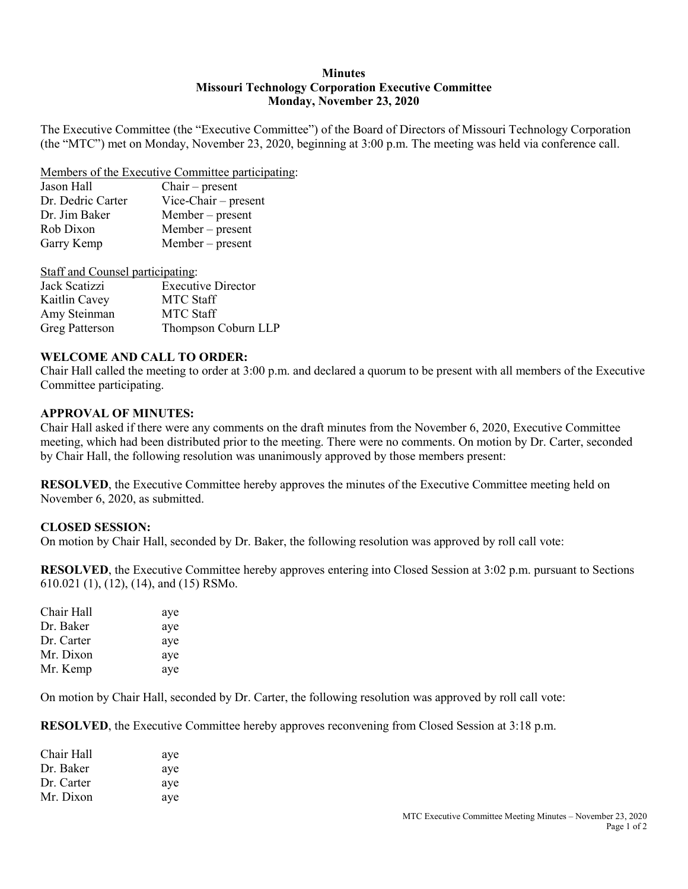### **Minutes Missouri Technology Corporation Executive Committee Monday, November 23, 2020**

The Executive Committee (the "Executive Committee") of the Board of Directors of Missouri Technology Corporation (the "MTC") met on Monday, November 23, 2020, beginning at 3:00 p.m. The meeting was held via conference call.

#### Members of the Executive Committee participating:

| Jason Hall        | $Chair - present$      |
|-------------------|------------------------|
| Dr. Dedric Carter | $Vice-Chair - present$ |
| Dr. Jim Baker     | $Member - present$     |
| Rob Dixon         | $Member - present$     |
| Garry Kemp        | Member – present       |
|                   |                        |

Staff and Counsel participating:

| Jack Scatizzi         | <b>Executive Director</b> |
|-----------------------|---------------------------|
| Kaitlin Cavey         | <b>MTC Staff</b>          |
| Amy Steinman          | <b>MTC Staff</b>          |
| <b>Greg Patterson</b> | Thompson Coburn LLP       |

### **WELCOME AND CALL TO ORDER:**

Chair Hall called the meeting to order at 3:00 p.m. and declared a quorum to be present with all members of the Executive Committee participating.

### **APPROVAL OF MINUTES:**

Chair Hall asked if there were any comments on the draft minutes from the November 6, 2020, Executive Committee meeting, which had been distributed prior to the meeting. There were no comments. On motion by Dr. Carter, seconded by Chair Hall, the following resolution was unanimously approved by those members present:

**RESOLVED**, the Executive Committee hereby approves the minutes of the Executive Committee meeting held on November 6, 2020, as submitted.

### **CLOSED SESSION:**

On motion by Chair Hall, seconded by Dr. Baker, the following resolution was approved by roll call vote:

**RESOLVED**, the Executive Committee hereby approves entering into Closed Session at 3:02 p.m. pursuant to Sections 610.021 (1), (12), (14), and (15) RSMo.

| aye |
|-----|
| aye |
| aye |
| aye |
| aye |
|     |

On motion by Chair Hall, seconded by Dr. Carter, the following resolution was approved by roll call vote:

**RESOLVED**, the Executive Committee hereby approves reconvening from Closed Session at 3:18 p.m.

| Chair Hall | aye |
|------------|-----|
| Dr. Baker  | aye |
| Dr. Carter | aye |
| Mr. Dixon  | aye |